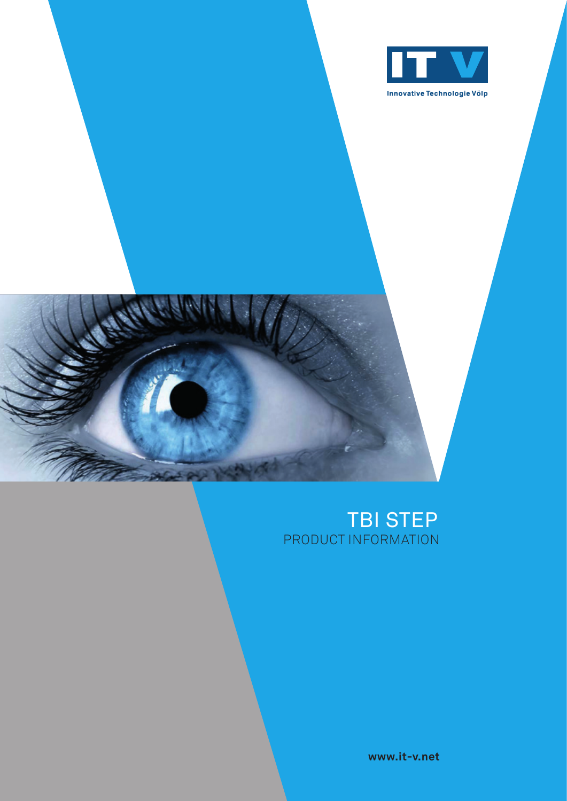



### TBI STEP PRODUCT INFORMATION

**www.it-v.net**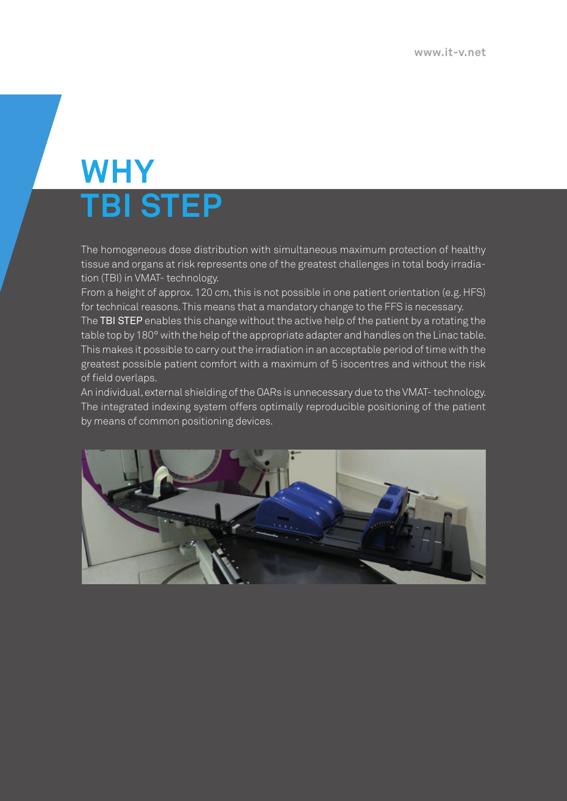# **WHY TBI STEP**

The homogeneous dose distribution with simultaneous maximum protection of healthy tissue and organs at risk represents one of the greatest challenges in total body irradiation (TBI) in VMAT- technology.

From a height of approx. 120 cm, this is not possible in one patient orientation (e.g. HFS) for technical reasons. This means that a mandatory change to the FFS is necessary.

The TBI STEP enables this change without the active help of the patient by a rotating the table top by 180° with the help of the appropriate adapter and handles on the Linac table. This makes it possible to carry out the irradiation in an acceptable period of time with the greatest possible patient comfort with a maximum of 5 isocentres and without the risk of field overlaps.

An individual, external shielding of the OARs is unnecessary due to the VMAT- technology. The integrated indexing system offers optimally reproducible positioning of the patient by means of common positioning devices.

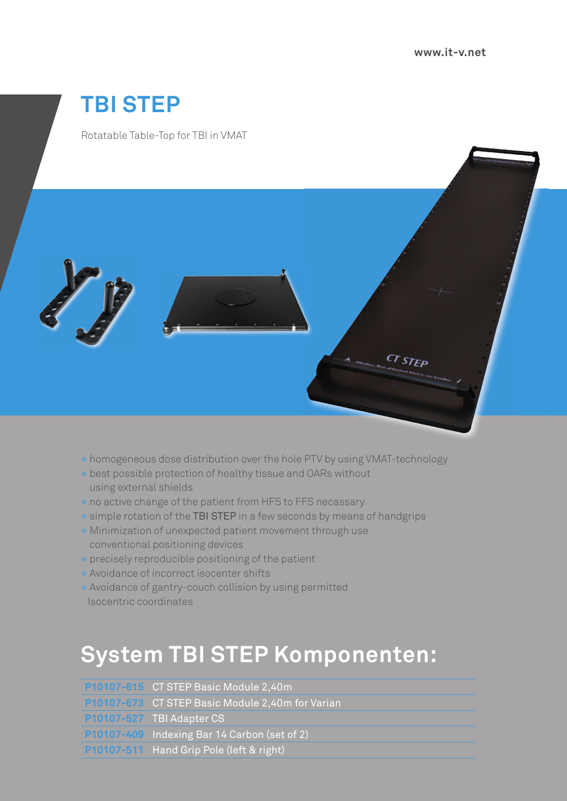# **TBI STEP**

Rotatable Table-Top for TBI in VMAT



- » homogeneous dose distribution over the hole PTV by using VMAT-technology
- » best possible protection of healthy tissue and OARs without using external shields
- » no active change of the patient from HFS to FFS necassary
- » simple rotation of the TBI STEP in a few seconds by means of handgrips
- » Minimization of unexpected patient movement through use conventional positioning devices
- » precisely reproducible positioning of the patient
- » Avoidance of incorrect isocenter shifts
- » Avoidance of gantry-couch collision by using permitted Isocentric coordinates

## **System TBI STEP Komponenten:**

| P10107-615 CT STEP Basic Module 2,40m                   |
|---------------------------------------------------------|
| <b>P10107-673</b> CT STEP Basic Module 2,40m for Varian |
| P10107-527 TBI Adapter CS                               |
| P10107-409 Indexing Bar 14 Carbon (set of 2)            |
| P10107-511 Hand Grip Pole (left & right)                |